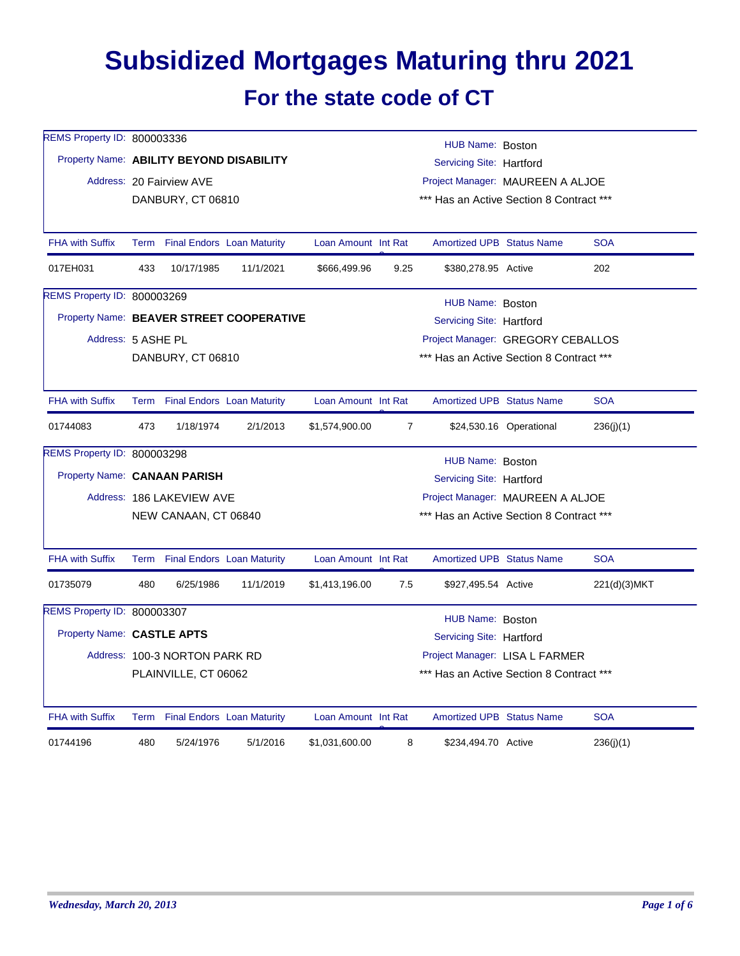## **Subsidized Mortgages Maturing thru 2021 For the state code of CT**

| <b>REMS Property ID: 800003336</b>       |                                                                  |                                 |                                          |                     |                | HUB Name: Boston                         |                         |              |  |  |
|------------------------------------------|------------------------------------------------------------------|---------------------------------|------------------------------------------|---------------------|----------------|------------------------------------------|-------------------------|--------------|--|--|
| Property Name: ABILITY BEYOND DISABILITY |                                                                  |                                 |                                          |                     |                | Servicing Site: Hartford                 |                         |              |  |  |
|                                          | Address: 20 Fairview AVE<br>Project Manager: MAUREEN A ALJOE     |                                 |                                          |                     |                |                                          |                         |              |  |  |
|                                          |                                                                  | DANBURY, CT 06810               |                                          |                     |                | *** Has an Active Section 8 Contract *** |                         |              |  |  |
|                                          |                                                                  |                                 |                                          |                     |                |                                          |                         |              |  |  |
| <b>FHA with Suffix</b>                   |                                                                  | Term Final Endors Loan Maturity |                                          | Loan Amount Int Rat |                | <b>Amortized UPB Status Name</b>         |                         | <b>SOA</b>   |  |  |
| 017EH031                                 | 433                                                              | 10/17/1985                      | 11/1/2021                                | \$666,499.96        | 9.25           | \$380,278.95 Active                      |                         | 202          |  |  |
| REMS Property ID: 800003269              |                                                                  |                                 |                                          |                     |                | HUB Name: Boston                         |                         |              |  |  |
|                                          |                                                                  |                                 | Property Name: BEAVER STREET COOPERATIVE |                     |                | Servicing Site: Hartford                 |                         |              |  |  |
| Address: 5 ASHE PL                       |                                                                  |                                 |                                          |                     |                | Project Manager: GREGORY CEBALLOS        |                         |              |  |  |
|                                          |                                                                  | DANBURY, CT 06810               |                                          |                     |                | *** Has an Active Section 8 Contract *** |                         |              |  |  |
| <b>FHA with Suffix</b>                   |                                                                  |                                 | Term Final Endors Loan Maturity          | Loan Amount Int Rat |                | <b>Amortized UPB Status Name</b>         |                         | <b>SOA</b>   |  |  |
| 01744083                                 | 473                                                              | 1/18/1974                       | 2/1/2013                                 | \$1,574,900.00      | $\overline{7}$ |                                          | \$24,530.16 Operational | 236(j)(1)    |  |  |
| REMS Property ID: 800003298              |                                                                  |                                 |                                          |                     |                | HUB Name: Boston                         |                         |              |  |  |
| Property Name: CANAAN PARISH             |                                                                  |                                 |                                          |                     |                | Servicing Site: Hartford                 |                         |              |  |  |
|                                          |                                                                  | Address: 186 LAKEVIEW AVE       |                                          |                     |                | Project Manager: MAUREEN A ALJOE         |                         |              |  |  |
|                                          |                                                                  | NEW CANAAN, CT 06840            |                                          |                     |                | *** Has an Active Section 8 Contract *** |                         |              |  |  |
| <b>FHA with Suffix</b>                   |                                                                  | Term Final Endors Loan Maturity |                                          | Loan Amount Int Rat |                | <b>Amortized UPB Status Name</b>         |                         | <b>SOA</b>   |  |  |
| 01735079                                 | 480                                                              | 6/25/1986                       | 11/1/2019                                | \$1,413,196.00      | 7.5            | \$927,495.54 Active                      |                         | 221(d)(3)MKT |  |  |
| REMS Property ID: 800003307              |                                                                  |                                 |                                          |                     |                | HUB Name: Boston                         |                         |              |  |  |
| Property Name: CASTLE APTS               |                                                                  |                                 |                                          |                     |                | Servicing Site: Hartford                 |                         |              |  |  |
|                                          |                                                                  | Address: 100-3 NORTON PARK RD   |                                          |                     |                | Project Manager: LISA L FARMER           |                         |              |  |  |
|                                          | *** Has an Active Section 8 Contract ***<br>PLAINVILLE, CT 06062 |                                 |                                          |                     |                |                                          |                         |              |  |  |
| <b>FHA with Suffix</b>                   |                                                                  | Term Final Endors Loan Maturity |                                          | Loan Amount Int Rat |                | <b>Amortized UPB Status Name</b>         |                         | <b>SOA</b>   |  |  |
| 01744196                                 | 480                                                              | 5/24/1976                       | 5/1/2016                                 | \$1,031,600.00      | 8              | \$234,494.70 Active                      |                         | 236(j)(1)    |  |  |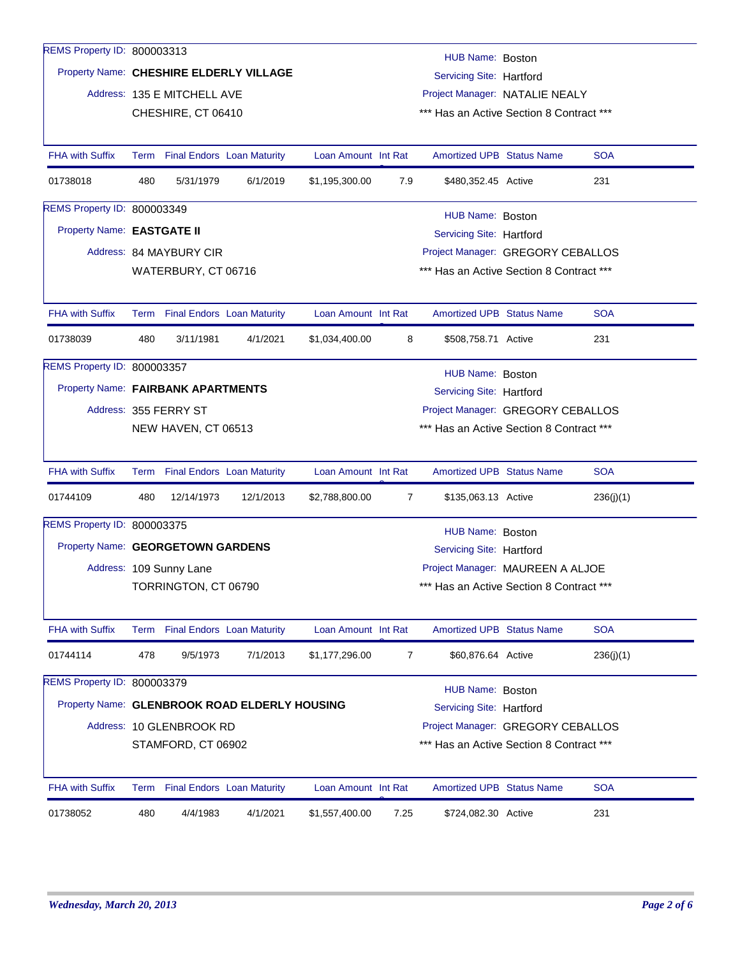| <b>REMS Property ID: 800003313</b> |     |                                 |                                               |                     |      | HUB Name: Boston                         |  |            |
|------------------------------------|-----|---------------------------------|-----------------------------------------------|---------------------|------|------------------------------------------|--|------------|
|                                    |     |                                 | Property Name: CHESHIRE ELDERLY VILLAGE       |                     |      | Servicing Site: Hartford                 |  |            |
|                                    |     | Address: 135 E MITCHELL AVE     |                                               |                     |      | Project Manager: NATALIE NEALY           |  |            |
|                                    |     | CHESHIRE, CT 06410              |                                               |                     |      | *** Has an Active Section 8 Contract *** |  |            |
|                                    |     |                                 |                                               |                     |      |                                          |  |            |
| <b>FHA with Suffix</b>             |     | Term Final Endors Loan Maturity |                                               | Loan Amount Int Rat |      | <b>Amortized UPB Status Name</b>         |  | <b>SOA</b> |
| 01738018                           | 480 | 5/31/1979                       | 6/1/2019                                      | \$1,195,300.00      | 7.9  | \$480,352.45 Active                      |  | 231        |
| <b>REMS Property ID: 800003349</b> |     |                                 |                                               |                     |      | HUB Name: Boston                         |  |            |
| Property Name: EASTGATE II         |     |                                 |                                               |                     |      | Servicing Site: Hartford                 |  |            |
|                                    |     | Address: 84 MAYBURY CIR         |                                               |                     |      | Project Manager: GREGORY CEBALLOS        |  |            |
|                                    |     | WATERBURY, CT 06716             |                                               |                     |      | *** Has an Active Section 8 Contract *** |  |            |
|                                    |     |                                 |                                               |                     |      |                                          |  |            |
| <b>FHA with Suffix</b>             |     | Term Final Endors Loan Maturity |                                               | Loan Amount Int Rat |      | <b>Amortized UPB Status Name</b>         |  | <b>SOA</b> |
| 01738039                           | 480 | 3/11/1981                       | 4/1/2021                                      | \$1,034,400.00      | 8    | \$508,758.71 Active                      |  | 231        |
| REMS Property ID: 800003357        |     |                                 |                                               |                     |      |                                          |  |            |
|                                    |     |                                 |                                               |                     |      | HUB Name: Boston                         |  |            |
| Property Name: FAIRBANK APARTMENTS |     |                                 |                                               |                     |      | Servicing Site: Hartford                 |  |            |
|                                    |     | Address: 355 FERRY ST           |                                               |                     |      | Project Manager: GREGORY CEBALLOS        |  |            |
|                                    |     | NEW HAVEN, CT 06513             |                                               |                     |      | *** Has an Active Section 8 Contract *** |  |            |
| <b>FHA with Suffix</b>             |     | Term Final Endors Loan Maturity |                                               | Loan Amount Int Rat |      | <b>Amortized UPB Status Name</b>         |  | <b>SOA</b> |
| 01744109                           | 480 | 12/14/1973                      | 12/1/2013                                     | \$2,788,800.00      | 7    | \$135,063.13 Active                      |  | 236(j)(1)  |
| REMS Property ID: 800003375        |     |                                 |                                               |                     |      | HUB Name: Boston                         |  |            |
| Property Name: GEORGETOWN GARDENS  |     |                                 |                                               |                     |      | Servicing Site: Hartford                 |  |            |
|                                    |     | Address: 109 Sunny Lane         |                                               |                     |      | Project Manager: MAUREEN A ALJOE         |  |            |
|                                    |     | TORRINGTON, CT 06790            |                                               |                     |      | *** Has an Active Section 8 Contract *** |  |            |
|                                    |     |                                 |                                               |                     |      |                                          |  |            |
| FHA with Suffix                    |     | Term Final Endors Loan Maturity |                                               | Loan Amount Int Rat |      | Amortized UPB Status Name                |  | <b>SOA</b> |
| 01744114                           | 478 | 9/5/1973                        | 7/1/2013                                      | \$1,177,296.00      | 7    | \$60,876.64 Active                       |  | 236(j)(1)  |
| REMS Property ID: 800003379        |     |                                 |                                               |                     |      |                                          |  |            |
|                                    |     |                                 | Property Name: GLENBROOK ROAD ELDERLY HOUSING |                     |      | HUB Name: Boston                         |  |            |
|                                    |     |                                 |                                               |                     |      | Servicing Site: Hartford                 |  |            |
|                                    |     | Address: 10 GLENBROOK RD        | Project Manager: GREGORY CEBALLOS             |                     |      |                                          |  |            |
|                                    |     | STAMFORD, CT 06902              |                                               |                     |      | *** Has an Active Section 8 Contract *** |  |            |
| <b>FHA with Suffix</b>             |     | Term Final Endors Loan Maturity |                                               | Loan Amount Int Rat |      | Amortized UPB Status Name                |  | <b>SOA</b> |
| 01738052                           | 480 | 4/4/1983                        | 4/1/2021                                      | \$1,557,400.00      | 7.25 | \$724,082.30 Active                      |  | 231        |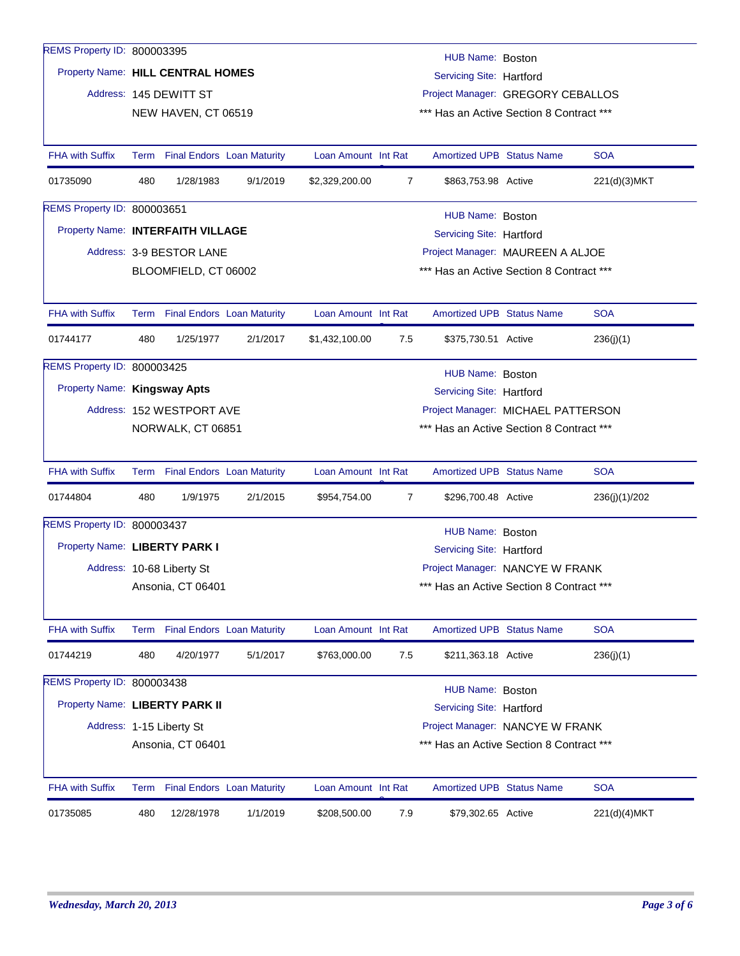| REMS Property ID: 800003395       |                                                                                   |                           |                                   |                     |                                          |                                          |  |               |  |  |  |
|-----------------------------------|-----------------------------------------------------------------------------------|---------------------------|-----------------------------------|---------------------|------------------------------------------|------------------------------------------|--|---------------|--|--|--|
|                                   | HUB Name: Boston<br>Property Name: HILL CENTRAL HOMES<br>Servicing Site: Hartford |                           |                                   |                     |                                          |                                          |  |               |  |  |  |
|                                   |                                                                                   | Address: 145 DEWITT ST    |                                   |                     | Project Manager: GREGORY CEBALLOS        |                                          |  |               |  |  |  |
|                                   |                                                                                   | NEW HAVEN, CT 06519       |                                   |                     | *** Has an Active Section 8 Contract *** |                                          |  |               |  |  |  |
|                                   |                                                                                   |                           |                                   |                     |                                          |                                          |  |               |  |  |  |
| <b>FHA with Suffix</b>            |                                                                                   |                           | Term Final Endors Loan Maturity   | Loan Amount Int Rat |                                          | <b>Amortized UPB Status Name</b>         |  | <b>SOA</b>    |  |  |  |
| 01735090                          | 480                                                                               | 1/28/1983                 | 9/1/2019                          | \$2,329,200.00      | $\overline{7}$                           | \$863,753.98 Active                      |  | 221(d)(3)MKT  |  |  |  |
| REMS Property ID: 800003651       |                                                                                   |                           |                                   |                     |                                          | HUB Name: Boston                         |  |               |  |  |  |
| Property Name: INTERFAITH VILLAGE |                                                                                   |                           |                                   |                     |                                          | Servicing Site: Hartford                 |  |               |  |  |  |
|                                   |                                                                                   | Address: 3-9 BESTOR LANE  |                                   |                     |                                          | Project Manager: MAUREEN A ALJOE         |  |               |  |  |  |
|                                   |                                                                                   | BLOOMFIELD, CT 06002      |                                   |                     |                                          | *** Has an Active Section 8 Contract *** |  |               |  |  |  |
|                                   |                                                                                   |                           |                                   |                     |                                          |                                          |  |               |  |  |  |
| <b>FHA with Suffix</b>            |                                                                                   |                           | Term Final Endors Loan Maturity   | Loan Amount Int Rat |                                          | <b>Amortized UPB Status Name</b>         |  | <b>SOA</b>    |  |  |  |
| 01744177                          | 480                                                                               | 1/25/1977                 | 2/1/2017                          | \$1,432,100.00      | 7.5                                      | \$375,730.51 Active                      |  | 236(j)(1)     |  |  |  |
| REMS Property ID: 800003425       |                                                                                   |                           |                                   |                     |                                          | HUB Name: Boston                         |  |               |  |  |  |
| Property Name: Kingsway Apts      |                                                                                   |                           |                                   |                     |                                          | Servicing Site: Hartford                 |  |               |  |  |  |
|                                   |                                                                                   | Address: 152 WESTPORT AVE |                                   |                     | Project Manager: MICHAEL PATTERSON       |                                          |  |               |  |  |  |
|                                   |                                                                                   | NORWALK, CT 06851         |                                   |                     |                                          | *** Has an Active Section 8 Contract *** |  |               |  |  |  |
|                                   |                                                                                   |                           |                                   |                     |                                          |                                          |  |               |  |  |  |
| <b>FHA with Suffix</b>            |                                                                                   |                           | Term Final Endors Loan Maturity   | Loan Amount Int Rat |                                          | <b>Amortized UPB Status Name</b>         |  | <b>SOA</b>    |  |  |  |
| 01744804                          | 480                                                                               | 1/9/1975                  | 2/1/2015                          | \$954,754.00        | 7                                        | \$296,700.48 Active                      |  | 236(j)(1)/202 |  |  |  |
| REMS Property ID: 800003437       |                                                                                   |                           |                                   |                     |                                          | HUB Name: Boston                         |  |               |  |  |  |
| Property Name: LIBERTY PARK I     |                                                                                   |                           |                                   |                     |                                          | Servicing Site: Hartford                 |  |               |  |  |  |
|                                   |                                                                                   | Address: 10-68 Liberty St |                                   |                     |                                          | Project Manager: NANCYE W FRANK          |  |               |  |  |  |
|                                   |                                                                                   | Ansonia, CT 06401         |                                   |                     |                                          | *** Has an Active Section 8 Contract *** |  |               |  |  |  |
|                                   |                                                                                   |                           |                                   |                     |                                          |                                          |  |               |  |  |  |
| <b>FHA with Suffix</b>            | Term                                                                              |                           | <b>Final Endors Loan Maturity</b> | Loan Amount Int Rat |                                          | <b>Amortized UPB Status Name</b>         |  | <b>SOA</b>    |  |  |  |
| 01744219                          | 480                                                                               | 4/20/1977                 | 5/1/2017                          | \$763,000.00        | 7.5                                      | \$211,363.18 Active                      |  | 236(j)(1)     |  |  |  |
| REMS Property ID: 800003438       |                                                                                   |                           |                                   |                     |                                          | HUB Name: Boston                         |  |               |  |  |  |
| Property Name: LIBERTY PARK II    |                                                                                   |                           |                                   |                     |                                          | Servicing Site: Hartford                 |  |               |  |  |  |
|                                   |                                                                                   | Address: 1-15 Liberty St  |                                   |                     |                                          | Project Manager: NANCYE W FRANK          |  |               |  |  |  |
|                                   |                                                                                   | Ansonia, CT 06401         |                                   |                     |                                          | *** Has an Active Section 8 Contract *** |  |               |  |  |  |
|                                   |                                                                                   |                           |                                   |                     |                                          |                                          |  |               |  |  |  |
| <b>FHA with Suffix</b>            | Term                                                                              |                           | <b>Final Endors</b> Loan Maturity | Loan Amount Int Rat |                                          | <b>Amortized UPB Status Name</b>         |  | <b>SOA</b>    |  |  |  |
| 01735085                          | 480                                                                               | 12/28/1978                | 1/1/2019                          | \$208,500.00        | 7.9                                      | \$79,302.65 Active                       |  | 221(d)(4)MKT  |  |  |  |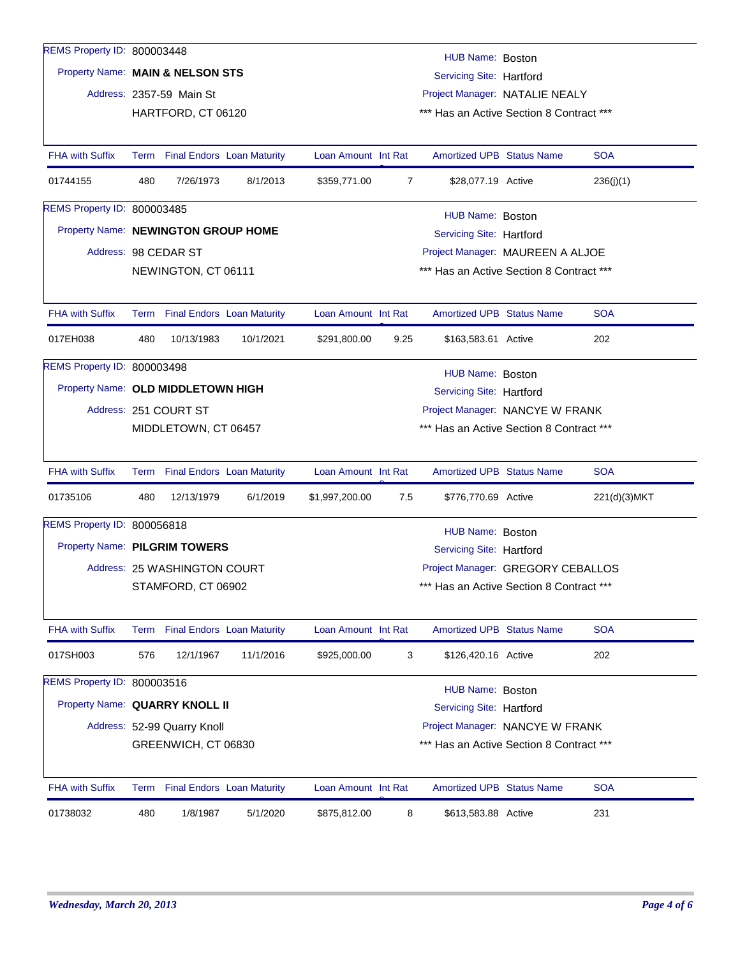| REMS Property ID: 800003448         |                                                                                |                              |                                 |                                                     |                                          |                                          |  |               |  |  |  |
|-------------------------------------|--------------------------------------------------------------------------------|------------------------------|---------------------------------|-----------------------------------------------------|------------------------------------------|------------------------------------------|--|---------------|--|--|--|
| Property Name: MAIN & NELSON STS    |                                                                                |                              |                                 | HUB Name: Boston<br><b>Servicing Site: Hartford</b> |                                          |                                          |  |               |  |  |  |
|                                     |                                                                                | Address: 2357-59 Main St     |                                 | Project Manager: NATALIE NEALY                      |                                          |                                          |  |               |  |  |  |
|                                     |                                                                                | HARTFORD, CT 06120           |                                 | *** Has an Active Section 8 Contract ***            |                                          |                                          |  |               |  |  |  |
|                                     |                                                                                |                              |                                 |                                                     |                                          |                                          |  |               |  |  |  |
| <b>FHA with Suffix</b>              |                                                                                |                              | Term Final Endors Loan Maturity | Loan Amount Int Rat                                 |                                          | <b>Amortized UPB Status Name</b>         |  | <b>SOA</b>    |  |  |  |
| 01744155                            | 480                                                                            | 7/26/1973                    | 8/1/2013                        | \$359,771.00                                        | $\overline{7}$                           | \$28,077.19 Active                       |  | 236(j)(1)     |  |  |  |
| <b>REMS Property ID: 800003485</b>  |                                                                                |                              |                                 |                                                     |                                          | HUB Name: Boston                         |  |               |  |  |  |
| Property Name: NEWINGTON GROUP HOME |                                                                                |                              |                                 |                                                     |                                          | Servicing Site: Hartford                 |  |               |  |  |  |
|                                     |                                                                                | Address: 98 CEDAR ST         |                                 |                                                     |                                          | Project Manager: MAUREEN A ALJOE         |  |               |  |  |  |
|                                     |                                                                                | NEWINGTON, CT 06111          |                                 |                                                     |                                          | *** Has an Active Section 8 Contract *** |  |               |  |  |  |
|                                     |                                                                                |                              |                                 |                                                     |                                          |                                          |  |               |  |  |  |
| <b>FHA with Suffix</b>              |                                                                                |                              | Term Final Endors Loan Maturity | Loan Amount Int Rat                                 |                                          | <b>Amortized UPB Status Name</b>         |  | <b>SOA</b>    |  |  |  |
| 017EH038                            | 480                                                                            | 10/13/1983                   | 10/1/2021                       | \$291,800.00                                        | 9.25                                     | \$163,583.61 Active                      |  | 202           |  |  |  |
| REMS Property ID: 800003498         |                                                                                |                              |                                 |                                                     |                                          | HUB Name: Boston                         |  |               |  |  |  |
| Property Name: OLD MIDDLETOWN HIGH  |                                                                                |                              |                                 | Servicing Site: Hartford                            |                                          |                                          |  |               |  |  |  |
|                                     |                                                                                | Address: 251 COURT ST        |                                 | Project Manager: NANCYE W FRANK                     |                                          |                                          |  |               |  |  |  |
|                                     |                                                                                | MIDDLETOWN, CT 06457         |                                 |                                                     | *** Has an Active Section 8 Contract *** |                                          |  |               |  |  |  |
|                                     |                                                                                |                              |                                 |                                                     |                                          |                                          |  |               |  |  |  |
| <b>FHA with Suffix</b>              |                                                                                |                              | Term Final Endors Loan Maturity | Loan Amount Int Rat                                 |                                          | <b>Amortized UPB Status Name</b>         |  | <b>SOA</b>    |  |  |  |
| 01735106                            | 480                                                                            | 12/13/1979                   | 6/1/2019                        | \$1,997,200.00                                      | 7.5                                      | \$776,770.69 Active                      |  | 221(d)(3) MKT |  |  |  |
| REMS Property ID: 800056818         |                                                                                |                              |                                 |                                                     |                                          | HUB Name: Boston                         |  |               |  |  |  |
| Property Name: PILGRIM TOWERS       |                                                                                |                              |                                 |                                                     |                                          | Servicing Site: Hartford                 |  |               |  |  |  |
|                                     |                                                                                | Address: 25 WASHINGTON COURT |                                 |                                                     | Project Manager: GREGORY CEBALLOS        |                                          |  |               |  |  |  |
|                                     |                                                                                | STAMFORD, CT 06902           |                                 |                                                     |                                          | *** Has an Active Section 8 Contract *** |  |               |  |  |  |
|                                     |                                                                                |                              |                                 |                                                     |                                          |                                          |  |               |  |  |  |
| <b>FHA with Suffix</b>              |                                                                                |                              | Term Final Endors Loan Maturity | Loan Amount Int Rat                                 |                                          | <b>Amortized UPB Status Name</b>         |  | <b>SOA</b>    |  |  |  |
| 017SH003                            | 576                                                                            | 12/1/1967                    | 11/1/2016                       | \$925,000.00                                        | 3                                        | \$126,420.16 Active                      |  | 202           |  |  |  |
| REMS Property ID: 800003516         |                                                                                |                              |                                 |                                                     |                                          |                                          |  |               |  |  |  |
|                                     | HUB Name: Boston<br>Property Name: QUARRY KNOLL II<br>Servicing Site: Hartford |                              |                                 |                                                     |                                          |                                          |  |               |  |  |  |
|                                     |                                                                                | Address: 52-99 Quarry Knoll  |                                 |                                                     |                                          | Project Manager: NANCYE W FRANK          |  |               |  |  |  |
|                                     |                                                                                | GREENWICH, CT 06830          |                                 |                                                     |                                          | *** Has an Active Section 8 Contract *** |  |               |  |  |  |
|                                     |                                                                                |                              |                                 |                                                     |                                          |                                          |  |               |  |  |  |
| <b>FHA with Suffix</b>              |                                                                                |                              | Term Final Endors Loan Maturity | Loan Amount Int Rat                                 |                                          | <b>Amortized UPB Status Name</b>         |  | <b>SOA</b>    |  |  |  |
| 01738032                            | 480                                                                            | 1/8/1987                     | 5/1/2020                        | \$875,812.00                                        | 8                                        | \$613,583.88 Active                      |  | 231           |  |  |  |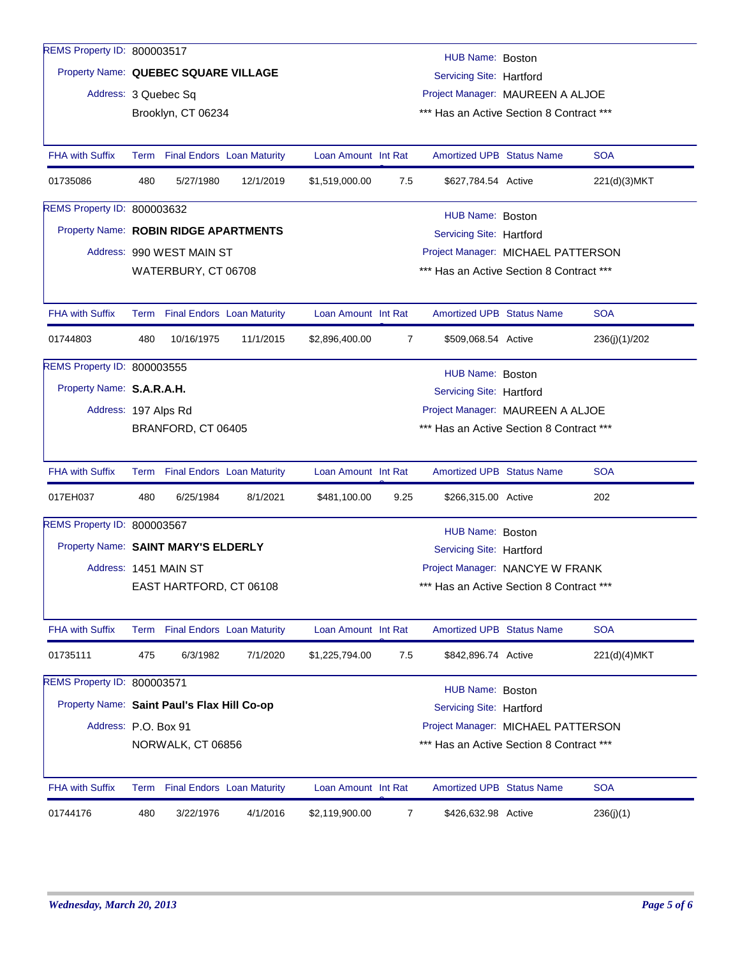| REMS Property ID: 800003517                 |                                                                  |                                          |           |                                  |                                  | HUB Name: Boston                         |  |               |  |  |  |
|---------------------------------------------|------------------------------------------------------------------|------------------------------------------|-----------|----------------------------------|----------------------------------|------------------------------------------|--|---------------|--|--|--|
|                                             | Property Name: QUEBEC SQUARE VILLAGE<br>Servicing Site: Hartford |                                          |           |                                  |                                  |                                          |  |               |  |  |  |
| Address: 3 Quebec Sq                        |                                                                  |                                          |           |                                  | Project Manager: MAUREEN A ALJOE |                                          |  |               |  |  |  |
|                                             | Brooklyn, CT 06234                                               | *** Has an Active Section 8 Contract *** |           |                                  |                                  |                                          |  |               |  |  |  |
|                                             |                                                                  |                                          |           |                                  |                                  |                                          |  |               |  |  |  |
| <b>FHA with Suffix</b>                      |                                                                  | Term Final Endors Loan Maturity          |           | Loan Amount Int Rat              |                                  | <b>Amortized UPB Status Name</b>         |  | <b>SOA</b>    |  |  |  |
| 01735086                                    | 480                                                              | 5/27/1980                                | 12/1/2019 | \$1,519,000.00                   | 7.5                              | \$627,784.54 Active                      |  | 221(d)(3)MKT  |  |  |  |
| <b>REMS Property ID: 800003632</b>          |                                                                  |                                          |           |                                  |                                  | HUB Name: Boston                         |  |               |  |  |  |
| Property Name: ROBIN RIDGE APARTMENTS       |                                                                  |                                          |           |                                  |                                  | <b>Servicing Site: Hartford</b>          |  |               |  |  |  |
|                                             |                                                                  | Address: 990 WEST MAIN ST                |           |                                  |                                  | Project Manager: MICHAEL PATTERSON       |  |               |  |  |  |
|                                             |                                                                  | WATERBURY, CT 06708                      |           |                                  |                                  | *** Has an Active Section 8 Contract *** |  |               |  |  |  |
|                                             |                                                                  |                                          |           |                                  |                                  |                                          |  |               |  |  |  |
| <b>FHA with Suffix</b>                      |                                                                  | Term Final Endors Loan Maturity          |           | Loan Amount Int Rat              |                                  | <b>Amortized UPB Status Name</b>         |  | <b>SOA</b>    |  |  |  |
| 01744803                                    | 480                                                              | 10/16/1975                               | 11/1/2015 | \$2,896,400.00                   | $\overline{7}$                   | \$509,068.54 Active                      |  | 236(j)(1)/202 |  |  |  |
| REMS Property ID: 800003555                 |                                                                  |                                          |           |                                  |                                  | HUB Name: Boston                         |  |               |  |  |  |
| Property Name: S.A.R.A.H.                   |                                                                  |                                          |           |                                  |                                  | Servicing Site: Hartford                 |  |               |  |  |  |
| Address: 197 Alps Rd                        |                                                                  |                                          |           | Project Manager: MAUREEN A ALJOE |                                  |                                          |  |               |  |  |  |
|                                             |                                                                  | BRANFORD, CT 06405                       |           |                                  |                                  | *** Has an Active Section 8 Contract *** |  |               |  |  |  |
|                                             |                                                                  |                                          |           |                                  |                                  |                                          |  |               |  |  |  |
| <b>FHA with Suffix</b>                      |                                                                  | Term Final Endors Loan Maturity          |           | Loan Amount Int Rat              |                                  | <b>Amortized UPB Status Name</b>         |  | <b>SOA</b>    |  |  |  |
| 017EH037                                    | 480                                                              | 6/25/1984                                | 8/1/2021  | \$481,100.00                     | 9.25                             | \$266,315.00 Active                      |  | 202           |  |  |  |
| REMS Property ID: 800003567                 |                                                                  |                                          |           |                                  |                                  | HUB Name: Boston                         |  |               |  |  |  |
| Property Name: SAINT MARY'S ELDERLY         |                                                                  |                                          |           |                                  |                                  | Servicing Site: Hartford                 |  |               |  |  |  |
|                                             |                                                                  | Address: 1451 MAIN ST                    |           |                                  |                                  | Project Manager: NANCYE W FRANK          |  |               |  |  |  |
|                                             |                                                                  | EAST HARTFORD, CT 06108                  |           |                                  |                                  | *** Has an Active Section 8 Contract *** |  |               |  |  |  |
|                                             |                                                                  |                                          |           |                                  |                                  |                                          |  |               |  |  |  |
| <b>FHA with Suffix</b>                      |                                                                  | Term Final Endors Loan Maturity          |           | Loan Amount Int Rat              |                                  | <b>Amortized UPB Status Name</b>         |  | <b>SOA</b>    |  |  |  |
| 01735111                                    | 475                                                              | 6/3/1982                                 | 7/1/2020  | \$1,225,794.00                   | 7.5                              | \$842,896.74 Active                      |  | 221(d)(4)MKT  |  |  |  |
| REMS Property ID: 800003571                 |                                                                  |                                          |           |                                  |                                  | HUB Name: Boston                         |  |               |  |  |  |
| Property Name: Saint Paul's Flax Hill Co-op |                                                                  |                                          |           |                                  |                                  | Servicing Site: Hartford                 |  |               |  |  |  |
| Address: P.O. Box 91                        |                                                                  |                                          |           |                                  |                                  | Project Manager: MICHAEL PATTERSON       |  |               |  |  |  |
|                                             |                                                                  | NORWALK, CT 06856                        |           |                                  |                                  | *** Has an Active Section 8 Contract *** |  |               |  |  |  |
|                                             |                                                                  |                                          |           |                                  |                                  |                                          |  |               |  |  |  |
| <b>FHA with Suffix</b>                      |                                                                  | Term Final Endors Loan Maturity          |           | Loan Amount Int Rat              |                                  | <b>Amortized UPB Status Name</b>         |  | <b>SOA</b>    |  |  |  |
| 01744176                                    | 480                                                              | 3/22/1976                                | 4/1/2016  | \$2,119,900.00                   | 7                                | \$426,632.98 Active                      |  | 236(j)(1)     |  |  |  |